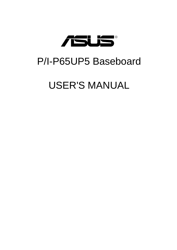

# P/I-P65UP5 Baseboard

# USER'S MANUAL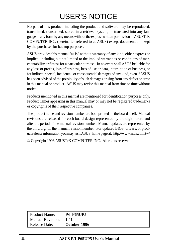# USER'S NOTICE

No part of this product, including the product and software may be reproduced, transmitted, transcribed, stored in a retrieval system, or translated into any language in any form by any means without the express written permission of ASUSTeK COMPUTER INC. (hereinafter referred to as ASUS) except documentation kept by the purchaser for backup purposes.

ASUS provides this manual "as is" without warranty of any kind, either express or implied, including but not limited to the implied warranties or conditions of merchantability or fitness for a particular purpose. In no event shall ASUS be liable for any loss or profits, loss of business, loss of use or data, interruption of business, or for indirect, special, incidental, or consequential damages of any kind, even if ASUS has been advised of the possibility of such damages arising from any defect or error in this manual or product. ASUS may revise this manual from time to time without notice.

Products mentioned in this manual are mentioned for identification purposes only. Product names appearing in this manual may or may not be registered trademarks or copyrights of their respective companies.

The product name and revision number are both printed on the board itself. Manual revisions are released for each board design represented by the digit before and after the period of the manual revision number. Manual updates are represented by the third digit in the manual revision number. For updated BIOS, drivers, or product release information you may visit ASUS' home page at: http://www.asus.com.tw/

© Copyright 1996 ASUSTeK COMPUTER INC. All rights reserved.

| <b>Product Name:</b>    | <b>P/I-P65UP5</b> |
|-------------------------|-------------------|
| <b>Manual Revision:</b> | 1.41              |
| <b>Release Date:</b>    | October 1996      |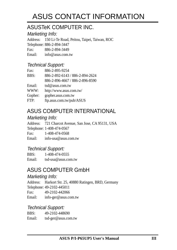# ASUS CONTACT INFORMATION

### ASUSTeK COMPUTER INC.

#### Marketing Info:

Address: 150 Li-Te Road, Peitou, Taipei, Taiwan, ROC

Telephone: 886-2-894-3447 Fax: 886-2-894-3449

Email: info@asus.com.tw

#### Technical Support:

| 886-2-895-9254                  |
|---------------------------------|
| 886-2-892-6143 / 886-2-894-2624 |
| 886-2-896-4667 / 886-2-896-8590 |
| tsd@asus.com.tw                 |
| http://www.asus.com.tw/         |
| gopher.asus.com.tw              |
| ftp.asus.com.tw/pub/ASUS        |
|                                 |

### ASUS COMPUTER INTERNATIONAL

#### Marketing Info:

Address: 721 Charcot Avenue, San Jose, CA 95131, USA Telephone: 1-408-474-0567 Fax: 1-408-474-0568 Email: info-usa@asus.com.tw

#### Technical Support:

BBS: 1-408-474-0555 Email: tsd-usa@asus.com.tw

### ASUS COMPUTER GmbH

#### Marketing Info:

Address: Harkort Str. 25, 40880 Ratingen, BRD, Germany Telephone: 49-2102-445011

Fax: 49-2102-442066

Email: info-ger@asus.com.tw

#### Technical Support:

BBS: 49-2102-448690 Email: tsd-ger@asus.com.tw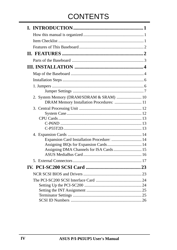# **CONTENTS**

| DRAM Memory Installation Procedures:  11   |  |
|--------------------------------------------|--|
|                                            |  |
|                                            |  |
|                                            |  |
|                                            |  |
|                                            |  |
| Expansion Card Installation Procedure:  14 |  |
| Assigning IRQs for Expansion Cards 14      |  |
| Assigning DMA Channels for ISA Cards 15    |  |
|                                            |  |
|                                            |  |
|                                            |  |
|                                            |  |
|                                            |  |
|                                            |  |
|                                            |  |
|                                            |  |
|                                            |  |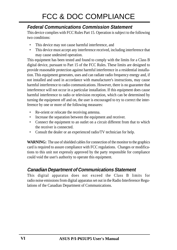#### **Federal Communications Commission Statement**

This device complies with FCC Rules Part 15. Operation is subject to the following two conditions:

- This device may not cause harmful interference, and
- This device must accept any interference received, including interference that may cause undesired operation.

This equipment has been tested and found to comply with the limits for a Class B digital device, pursuant to Part 15 of the FCC Rules. These limits are designed to provide reasonable protection against harmful interference in a residential installation. This equipment generates, uses and can radiate radio frequency energy and, if not installed and used in accordance with manufacturer's instructions, may cause harmful interference to radio communications. However, there is no guarantee that interference will not occur in a particular installation. If this equipment does cause harmful interference to radio or television reception, which can be determined by turning the equipment off and on, the user is encouraged to try to correct the interference by one or more of the following measures:

- Re-orient or relocate the receiving antenna.
- Increase the separation between the equipment and receiver.
- Connect the equipment to an outlet on a circuit different from that to which the receiver is connected.
- Consult the dealer or an experienced radio/TV technician for help.

**WARNING:** The use of shielded cables for connection of the monitor to the graphics card is required to assure compliance with FCC regulations. Changes or modifications to this unit not expressly approved by the party responsible for compliance could void the user's authority to operate this equipment.

#### **Canadian Department of Communications Statement**

This digital apparatus does not exceed the Class B limits for radio noise emissions from digital apparatus set out in the Radio Interference Regulations of the Canadian Department of Communications.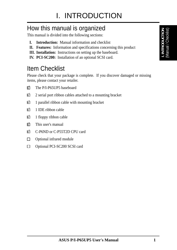### How this manual is organized

This manual is divided into the following sections:

- **I. Introduction:** Manual information and checklist
- **II. Features:** Information and specifications concerning this product
- **III. Installation:** Instructions on setting up the baseboard.
- **IV. PCI-SC200:** Installation of an optional SCSI card.

### Item Checklist

Please check that your package is complete. If you discover damaged or missing items, please contact your retailer.

- √ The P/I-P65UP5 baseboard
- √ 2 serial port ribbon cables attached to a mounting bracket
- $\Box$  1 parallel ribbon cable with mounting bracket
- $\overline{N}$  1 IDE ribbon cable
- $\overrightarrow{v}$  1 floppy ribbon cable
- $\overrightarrow{v}$  This user's manual
- √ C-P6ND or C-P55T2D CPU card
- $\Box$ Optional infrared module
- $\Box$ Optional PCI-SC200 SCSI card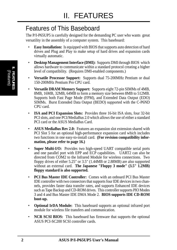### Features of This Baseboard

The P/I-P65UP5 is carefully designed for the demanding PC user who wants great versatility in the assembly of a computer system. This baseboard:

- **Easy Installation:** Is equipped with BIOS that supports auto detection of hard drives and Plug and Play to make setup of hard drives and expansion cards virtually automatic.
- **Desktop Management Interface (DMI):** Supports DMI through BIOS which allows hardware to communicate within a standard protocol creating a higher level of compatibility. (Requires DMI-enabled components.)
- **Versatile Processor Support:** Supports dual 75-200MHz Pentium or dual 150-200MHz Pentium Pro CPU card.
- **Versatile DRAM Memory Support:** Supports eight 72-pin SIMMs of 4MB, 8MB, 16MB, 32MB, 64MB to form a memory size between 8MB to 512MB. Supports both Fast Page Mode (FPM), and Extended Data Output (EDO) SIMMs. Burst Extended Data Output (BEDO) supported with the C-P6ND CPU card.
- **ISA and PCI Expansion Slots:** Provides three 16-bit ISA slots, four 32-bit PCI slots, and one PCI/MediaBus 2.0 which allows the use of either a standard PCI card or the ASUS MediaBus Card.
- **ASUS MediaBus Rev 2.0:** Features an expansion slot extension shared with PCI Slot 5 for an optional high-performance expansion card which includes two functions in one easy-to-install card. **(For revision compatibility information, please refer to page 16.)**
- **Super Multi-I/O:** Provides two high-speed UART compatible serial ports and one parallel port with EPP and ECP capabilities. UART2 can also be directed from COM2 to the Infrared Module for wireless connections. Two floppy drives of either 5.25" or 3.5" (1.44MB or 2.88MB) are also supported without an external card. **The Japanese "Floppy 3 mode" (3.5" 1.2MB) floppy standard is also supported.**
- **PCI Bus Master IDE Controller:** Comes with an onboard PCI Bus Master IDE controller with two connectors that supports four IDE devices in two channels, provides faster data transfer rates, and supports Enhanced IDE devices such as Tape Backup and CD-ROM drives. This controller supports PIO Modes 3 and 4 and Bus Master IDE DMA Mode 2. **BIOS supports IDE CD-ROM boot-up.**
- **Optional IrDA Module:** This baseboard supports an optional infrared port module for wireless file transfers and communication.
- **NCR SCSI BIOS:** This baseboard has firmware that supports the optional ASUS PCI-SC200 SCSI controller cards.

(Features) **II. FEATURES**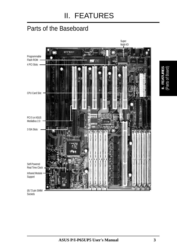### Parts of the Baseboard



Sockets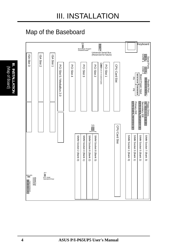### Map of the Baseboard

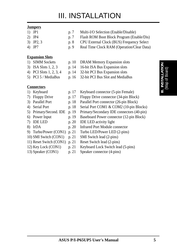# III. INSTALLATION

#### **Jumpers**

- 1) JP1 p. 7 Multi-I/O Selection (Enable/Disable)
- 2) JP4 p. 7 Flash ROM Boot Block Program (Enable/Dis)
- 3) JP2, 3 p. 8 CPU External Clock (BUS) Frequency Select
- 

#### **Expansion Slots**

- 
- 
- 
- 
- 4) JP7 p. 9 Real Time Clock RAM (Operation/Clear Data)
- 1) SIMM Sockets p. 10 DRAM Memory Expansion slots
- 3) ISA Slots  $1, 2, 3$  p. 14 16-bit ISA Bus Expansion slots
- 4) PCI Slots 1, 2, 3, 4 p. 14 32-bit PCI Bus Expansion slots
- 5) PCI 5 / MediaBus p. 16 32-bit PCI Bus Slot and MediaBus

#### **Connectors**

- 
- 
- 
- 
- 
- 
- 
- 
- 
- 
- 
- 
- 
- 1) Keyboard p. 17 Keyboard connector (5-pin Female)
- 7) Floppy Drive p. 17 Floppy Drive connector (34-pin Block)
- 3) Parallel Port p. 18 Parallel Port connector (26-pin Block)
- 4) Serial Port p. 18 Serial Port COM1 & COM2 (10-pin Blocks)
- 5) Primary/Second. IDE p. 19 Primary/Secondary IDE connectors (40-pin)
- 6) Power Input p. 19 Baseboard Power connector (12-pin Block)
- 7) IDE LED p. 20 IDE LED activity light
- 8) IrDA p. 20 Infrared Port Module connector
- 9) Turbo/Power (CON1) p. 21 Turbo LED/Power LED (2-pins)
- 10) SMI Switch (CON1) p. 21 SMI Switch lead (2-pins)
- 11) Reset Switch (CON1) p. 21 Reset Switch lead (2-pins)
- 12) Key Lock (CON1) p. 21 Keyboard Lock Switch lead (5-pins)
- 13) Speaker (CON1) p. 21 Speaker connector (4-pins)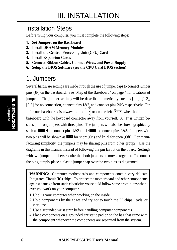### Installation Steps

Before using your computer, you must complete the following steps:

- **1. Set Jumpers on the Baseboard**
- **2. Install DRAM Memory Modules**
- **3. Install the Central Processing Unit (CPU) Card**
- **4. Install Expansion Cards**
- **5. Connect Ribbon Cables, Cabinet Wires, and Power Supply**
- **6. Setup the BIOS Software (see the CPU Card BIOS section)**

### 1. Jumpers

Several hardware settings are made through the use of jumper caps to connect jumper pins (JP) on the baseboard. See "Map of the Baseboard" on page 4 for locations of jumpers. The jumper settings will be described numerically such as [----], [1-2], [2-3] for no connection, connect pins  $1&2$ , and connect pins  $2&3$  respectively. Pin 1 for our baseboards is always on top  $\int_{0}^{\frac{\pi n}{2}}$  or on the left  $\frac{\pi n}{2}$  when holding the baseboard with the keyboard connector away from yourself. A "1" is written besides pin 1 on jumpers with three pins. The jumpers will also be shown graphically such as  $\bullet$   $\bullet$  to connect pins  $1\&2$  and  $\bullet$   $\bullet$  to connect pins 2&3. Jumpers with two pins will be shown as **For** for short (On) and  $\boxed{\circ}$  for open (Off). For manufacturing simplicity, the jumpers may be sharing pins from other groups. Use the diagrams in this manual instead of following the pin layout on the board. Settings with two jumper numbers require that both jumpers be moved together. To connect the pins, simply place a plastic jumper cap over the two pins as diagramed.

**WARNING:** Computer motheboards and components contain very delicate Integrated Circuit (IC) chips. To protect the motherboard and other components against damage from static electricity, you should follow some precautions whenever you work on your computer.

- 1. Unplug your computer when working on the inside.
- 2. Hold components by the edges and try not to touch the IC chips, leads, or circuitry.
- 3. Use a grounded wrist strap before handling computer components.
- 4. Place components on a grounded antistatic pad or on the bag that came with the component whenever the components are separated from the system.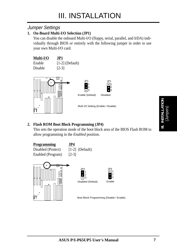#### Jumper Settings

#### **1. On-Board Multi-I/O Selection (JP1)**

You can disable the onboard Multi-I/O (floppy, serial, parallel, and IrDA) individually through BIOS *or* entirely with the following jumper in order to use your own Multi-I/O card.

| Multi-I/O | JP1               |
|-----------|-------------------|
| Enable    | $[1-2]$ (Default) |
| Disable   | $[2-3]$           |





Multi I/O Setting (Enable / Disable)

#### **2. Flash ROM Boot Block Programming (JP4)**

This sets the operation mode of the boot block area of the BIOS Flash ROM to allow programming in the *Enabled* position.

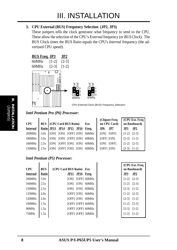#### **3. CPU External (BUS) Frequency Selection (JP2, JP3)**

These jumpers tells the clock generator what frequency to send to the CPU. These allow the selection of the CPU's *External* frequency (or *BUS Clock*). The BUS Clock times the BUS Ratio equals the CPU's *Internal* frequency (the advertised CPU speed).



CPU External Clock (BUS) Frequency Selection

1 2 3

#### *Intel Pentium Pro (P6) Processor:*

| <b>CPU</b>      |      | <b>BUS</b> (CPU Card BUS Ratio)    | Ext. | (Chipset Freq)<br>on CPU Card) | (CPU Ext. Freq<br>on Baseboard) |
|-----------------|------|------------------------------------|------|--------------------------------|---------------------------------|
| <b>Internal</b> |      | Ratio JP13 JP14 JP15 JP16 Freq.    | JP6  | JP7                            | JP2<br>JP3                      |
| 200MHz          | 3.0x | $[ON]$ $[ON]$ $[OFF]$ $[ON]$ 66MHz | [ON] | [OFF]                          | $[1-2]$<br>$[2-3]$              |
| 180MHz          | 3.0x | [ON] [ON] [OFF] [ON] 60MHz         |      | $[OFF]$ $[ON]$                 | $[2-3]$ $[1-2]$                 |
| 166MHz          | 2.5x | [OFF] $[ON]$ $[ON]$ 66MHz<br>[ON]  | [ON] | [OFF]                          | $[2-3]$<br>$[1-2]$              |
| 150MHz          | 2.5x | [ON] [OFF] [ON] [ON] 60MHz         |      | $[OFF]$ $[ON]$                 | $[2-3]$<br>$[1-2]$              |

#### *Intel Pentium (P5) Processor:*

| <b>CPU</b>      | <b>BUS</b>   | (CPU Card BUS Ratio) Ext.        | (CPU Ext. Freq<br>on Baseboard) |
|-----------------|--------------|----------------------------------|---------------------------------|
| <b>Internal</b> | <b>Ratio</b> | <b>JP16</b> Freq.<br><u>JP15</u> | JP3<br>JP2                      |
| 200MHz          | 3.0x         | $[OFF]$ 66MHz<br>[ON]            | $[1-2]$<br>$[2-3]$              |
| 166MHz          | 2.5x         | 66MHz<br>[ON]<br>[ON]            | $[1-2]$<br>$[2-3]$              |
| 150MHz          | 2.5x         | 60MHz<br>[ON]<br>[ON]            | $[2-3]$<br>$[1-2]$              |
| 133MHz          | 2.0x         | $[OFF]$ $[ON]$<br>66MHz          | $[1-2]$<br>$[2-3]$              |
| 120MHz          | 2.0x         | [OFF] [ON] 60MHz                 | $[2-3]$ $[1-2]$                 |
| 100MHz          | 1.5x         | [OFF] [OFF] 66MHz                | $[1-2]$<br>$[2-3]$              |
| 90MHz           | 1.5x         | [OFF] [OFF] 60MHz                | $[2-3]$<br>$[1-2]$              |
| 75MHz           | 1.5x         | [OFF] [OFF] 50MHz                | $[1-2]$<br>$[1-2]$              |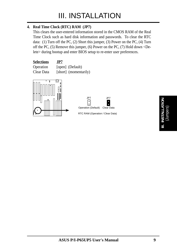#### **4. Real Time Clock (RTC) RAM (JP7)**

This clears the user-entered information stored in the CMOS RAM of the Real Time Clock such as hard disk information and passwords. To clear the RTC data: (1) Turn off the PC, (2) Short this jumper, (3) Power on the PC, (4) Turn off the PC, (5) Remove this jumper, (6) Power on the PC, (7) Hold down <Delete> during bootup and enter BIOS setup to re-enter user preferences.

| <b>Selections</b> | JPT                   |
|-------------------|-----------------------|
| Operation         | [open] (Default)      |
| Clear Data        | [short] (momentarily) |





RTC RAM (Operation / Clear Data)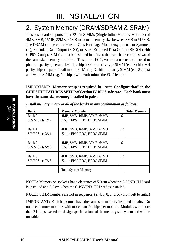### 2. System Memory (DRAM/SDRAM & SRAM)

This baseboard supports eight 72-pin SIMMs (Single Inline Memory Modules) of 4MB, 8MB, 16MB, 32MB, 64MB to form a memory size between 8MB to 512MB. The DRAM can be either 60ns or 70ns Fast Page Mode (Asymmetric or Symmetric), Extended Data Output (EDO), or Burst Extended Data Output (BEDO) (with C-P6ND only). SIMMs must be installed in pairs so that each bank contains two of the same size memory modules. To support ECC, you must use *true* (opposed to phantom parity generated by TTL chips) 36-bit parity-type SIMM (e.g.  $8 \text{ chips} + 4$ parity chips) in pairs for all modules. Mixing 32-bit non-parity SIMM (e.g. 8 chips) and 36-bit SIMM (e.g. 12 chips) will work minus the ECC feature.

**IMPORTANT: Memory setup is required in "Auto Configuration" in the CHIPSET FEATURES SETUP of Section IV BIOS software. Each bank must have the same size memory installed in pairs.**

| <b>Bank</b>              | <b>Memory Module</b>                                     |    | <b>Total Memory</b> |
|--------------------------|----------------------------------------------------------|----|---------------------|
| Bank 0<br>SIMM Slots 1&2 | 4MB, 8MB, 16MB, 32MB, 64MB<br>72-pin FPM, EDO, BEDO SIMM | x2 |                     |
| Bank 1<br>SIMM Slots 3&4 | 4MB, 8MB, 16MB, 32MB, 64MB<br>72-pin FPM, EDO, BEDO SIMM | x2 |                     |
| Bank 2<br>SIMM Slots 5&6 | 4MB, 8MB, 16MB, 32MB, 64MB<br>72-pin FPM, EDO, BEDO SIMM | x2 |                     |
| Bank 3<br>SIMM Slots 7&8 | 4MB, 8MB, 16MB, 32MB, 64MB<br>72-pin FPM, EDO, BEDO SIMM | x2 |                     |
|                          | <b>Total System Memory</b>                               |    |                     |

*Install memory in any or all of the banks in any combination as follows:*

**NOTE:** Memory on socket 1 has a clearance of 5.0 cm when the C-P6ND CPU card is installed and 5.5 cm when the C-P55T2D CPU card is installed.

**NOTE:** SIMM numbers are not in sequence, (2, 4, 6, 8, 1, 3, 5, 7 from left to right.)

**IMPORTANT:** Each bank must have the same size memory installed in pairs. Do not use memory modules with more than 24 chips per module. Modules with more than 24 chips exceed the design specifications of the memory subsystem and will be unstable.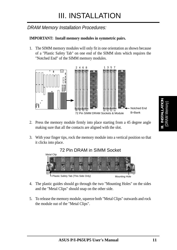#### DRAM Memory Installation Procedures:

#### **IMPORTANT: Install memory modules in symmetric pairs.**

1. The SIMM memory modules will only fit in one orientation as shown because of a "Plastic Safety Tab" on one end of the SIMM slots which requires the "Notched End" of the SIMM memory modules.



- 2. Press the memory module firmly into place starting from a 45 degree angle making sure that all the contacts are aligned with the slot.
- 3. With your finger tips, rock the memory module into a vertical position so that it clicks into place.



- 4. The plastic guides should go through the two "Mounting Holes" on the sides and the "Metal Clips" should snap on the other side.
- 5. To release the memory module, squeeze both "Metal Clips" outwards and rock the module out of the "Metal Clips".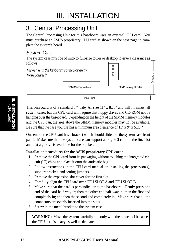### 3. Central Processing Unit

The Central Processing Unit for this baseboard uses an external CPU card. You must purchase an ASUS proprietary CPU card as shown on the next page to complete the system's board.

#### System Case

The system case must be of mid- to full-size tower or desktop to give a clearance as follows:



This baseboard is of a standard 3/4 baby AT size 11" x 8.75" and will fit almost all system cases, but the CPU card will require that floppy drives and CD-ROM not be hanging over the baseboard. Depending on the height of the SIMM memory modules and the CPU fan, the area above the SIMM memory modules may not be available. Be sure that the case you use has a minimum area clearance of 11" x 9" x 5.25."

One end of the CPU card has a bracket which should slide into the system case front panel. Make sure that the system case can support a long PCI card on the first slot and that a groove is available for the bracket.

#### **Installation procedures for the ASUS proprietary CPU card:**

- 1. Remove the CPU card from its packaging without touching the integrated circuit (IC) chips and place it onto the antistatic bag.
- 2. Follow instructions in the CPU card manual on installing the processor(s), support bracket, and setting jumpers.
- 3. Remove the expansion slot cover for the first slot.
- 4. Carefully align the CPU card over CPU SLOT A and CPU SLOT B.
- 5. Make sure that the card is perpendicular to the baseboard. Firmly press one end of the card half-way in; then the other end half-way in; then the first end completely in; and then the second end completely in. Make sure that all the connectors are evenly inserted into the slots.
- 6. Screw in the metal bracket to the system case.

**WARNING:** Move the system carefully and only with the power off because the CPU card is heavy as well as delicate.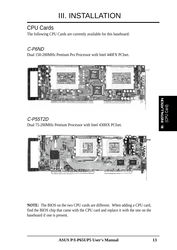# III. INSTALLATION

### CPU Cards

The following CPU Cards are currently available for this baseboard:

#### C-P6ND

Dual 150-200MHz Pentium Pro Processor with Intel 440FX PCIset.



C-P55T2D Dual 75-200MHz Pentium Processor with Intel 430HX PCIset.



**NOTE:** The BIOS on the two CPU cards are different. When adding a CPU card, find the BIOS chip that came with the CPU card and replace it with the one on the baseboard if one is present.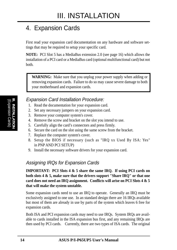### 4. Expansion Cards

First read your expansion card documentation on any hardware and software settings that may be required to setup your specific card.

**NOTE:** PCI Slot 5 has a MediaBus extension 2.0 (see page 16) which allows the installation of a PCI card or a MediaBus card (optional multifunctional card) but not both.

**WARNING:** Make sure that you unplug your power supply when adding or removing expansion cards. Failure to do so may cause severe damage to both your motherboard and expansion cards.

#### Expansion Card Installation Procedure:

- 1. Read the documentation for your expansion card.
- 2. Set any necessary jumpers on your expansion card.
- 3. Remove your computer system's cover.
- 4. Remove the screw and bracket on the slot you intend to use.
- 5. Carefully align the card's connectors and press firmly.
- 6. Secure the card on the slot using the same screw from the bracket.
- 7. Replace the computer system's cover.
- 8. Setup the BIOS if necessary (such as "IRQ xx Used By ISA: Yes" in PNP AND PCI SETUP)
- 9. Install the necessary software drivers for your expansion card.

#### Assigning IRQs for Expansion Cards

**IMPORTANT: PCI Slots 4 & 5 share the same IRQ. If using PCI cards on both slots 4 & 5, make sure that the drivers support "Share IRQ" or that one card does not need an IRQ assignment. Conflicts will arise on PCI Slots 4 & 5 that will make the system unstable.**

Some expansion cards need to use an IRQ to operate. Generally an IRQ must be exclusively assigned to one use. In an standard design there are 16 IRQs available but most of them are already in use by parts of the system which leaves 6 free for expansion cards.

Both ISA and PCI expansion cards may need to use IRQs. System IRQs are available to cards installed in the ISA expansion bus first, and any remaining IRQs are then used by PCI cards. Currently, there are two types of ISA cards. The original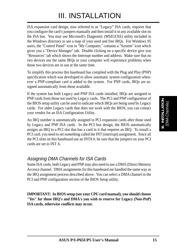# III. INSTALLATION

ISA expansion card design, now referred to as "Legacy" ISA cards, requires that you configure the card's jumpers manually and then install it in any available slot on the ISA bus. You may use Microsoft's Diagnostic (MSD.EXE) utility included in the Windows directory to see a map of your used and free IRQs. For Windows 95 users, the "Control Panel" icon in "My Computer," contains a "System" icon which gives you a "Device Manager" tab. Double clicking on a specific device give you "Resources" tab which shows the Interrupt number and address. Make sure that no two devices use the same IRQs or your computer will experience problems when those two devices are in use at the same time.

To simplify this process this baseboard has complied with the Plug and Play (PNP) specification which was developed to allow automatic system configuration whenever a PNP-compliant card is added to the system. For PNP cards, IRQs are assigned automatically from those available.

If the system has both Legacy and PNP ISA cards installed, IRQs are assigned to PNP cards from those not used by Legacy cards. The PCI and PNP configuration of the BIOS setup utility can be used to indicate which IRQs are being used by Legacy cards. For older Legacy cards that does not work with the BIOS, you can contact your vendor for an ISA Configuration Utility.

An IRQ number is automatically assigned to PCI expansion cards after those used by Legacy and PNP ISA cards. In the PCI bus design, the BIOS automatically assigns an IRQ to a PCI slot that has a card in it that requires an IRQ. To install a PCI card, you need to set something called the INT (interrupt) assignment. Since all the PCI slots on this baseboard use an INTA #, be sure that the jumpers on your PCI cards are set to INT A.

#### Assigning DMA Channels for ISA Cards

Some ISA cards, both Legacy and PNP may also need to use a DMA (Direct Memory Access) channel. DMA assignments for this baseboard are handled the same way as the IRQ assignment process described above. You can select a DMA channel in the PCI and PNP configuration section of the BIOS Setup utility.

**IMPORTANT: In BIOS setup (see your CPU card manual), you should choose "Yes" for those IRQ's and DMA's you wish to reserve for Legacy (Non-PnP) ISA cards, otherwise conflicts may occur.**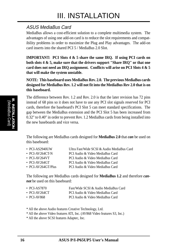#### ASUS MediaBus Card

MediaBus allows a cost-efficient solution to a complete multimedia system. The advantages of using one add-on card is to reduce the slot requirements and compatibility problems in order to maximize the Plug and Play advantages. The add-on card inserts into the shared PCI 5 / MediaBus 2.0 Slot.

**IMPORTANT: PCI Slots 4 & 5 share the same IRQ. If using PCI cards on both slots 4 & 5, make sure that the drivers support "Share IRQ" or that one card does not need an IRQ assignment. Conflicts will arise on PCI Slots 4 & 5 that will make the system unstable.**

**NOTE: This baseboard uses MediaBus Rev. 2.0. The previous MediaBus cards designed for MediaBus Rev. 1.2 will not fit into the MediaBus Rev 2.0 that is on this baseboard.**

The difference between Rev. 1.2 and Rev. 2.0 is that the later revision has 72 pins instead of 68 pins so it does not have to use any PCI slot signals reserved for PCI cards, therefore the baseboard's PCI Slot 5 can meet standard specifications. The gap between the MediaBus extension and the PCI Slot 5 has been increased from 0.32" to 0.40" in order to prevent Rev. 1.2 MediaBus cards from being installed into the new baseboards and vice versa.

The following are MediaBus cards designed for **MediaBus 2.0** that *can* be used on this baseboard:

- PCI-AS2940UW Ultra Fast/Wide SCSI & Audio MediaBus Card
- PCI-AV264CT-N PCI Audio & Video MediaBus Card
- PCI-AV264VT PCI Audio & Video MediaBus Card
- PCI-AV264GT PCI Audio & Video MediaBus Card
- PCI-AV264GT/Plus PCI Audio & Video MediaBus Card

The following are MediaBus cards designed for **MediaBus 1.2** and therefore *cannot* be used on this baseboard:

- PCI-AS7870 Fast/Wide SCSI & Audio MediaBus Card
- PCI-AV264CT PCI Audio & Video MediaBus Card
- PCI-AV868 PCI Audio & Video MediaBus Card

\* All the above Audio features Creative Technology, Ltd.

- \* All the above Video features ATI, Inc. (AV868 Video features S3, Inc.)
- \* All the above SCSI features Adaptec, Inc.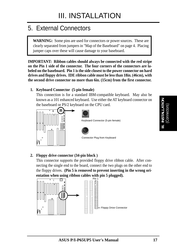### 5. External Connectors

**WARNING:** Some pins are used for connectors or power sources. These are clearly separated from jumpers in "Map of the Baseboard" on page 4. Placing jumper caps over these will cause damage to your baseboard.

**IMPORTANT: Ribbon cables should always be connected with the red stripe on the Pin 1 side of the connector. The four corners of the connectors are labeled on the baseboard. Pin 1 is the side closest to the power connector on hard drives and floppy drives. IDE ribbon cable must be less than 18in. (46cm), with the second drive connector no more than 6in. (15cm) from the first connector.**

#### **1. Keyboard Connector (5-pin female)**

This connection is for a standard IBM-compatible keyboard. May also be known as a 101 enhanced keyboard. Use either the AT keyboard connector on the baseboard or PS/2 keyboard on the CPU card.



Keyboard Connector (5-pin female)



Connector Plug from Keyboard

#### **2. Floppy drive connector (34-pin block )**

This connector supports the provided floppy drive ribbon cable. After connecting the single end to the board, connect the two plugs on the other end to the floppy drives. **(Pin 5 is removed to prevent inserting in the wrong orientation when using ribbon cables with pin 5 plugged).**

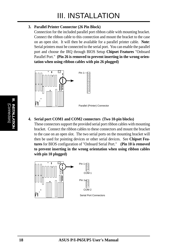#### **3. Parallel Printer Connector (26 Pin Block)**

Connection for the included parallel port ribbon cable with mounting bracket. Connect the ribbon cable to this connection and mount the bracket to the case on an open slot. It will then be available for a parallel printer cable. **Note**: Serial printers must be connected to the serial port. You can enable the parallel port and choose the IRQ through BIOS Setup **Chipset Features** "Onboard Parallel Port." **(Pin 26 is removed to prevent inserting in the wrong orientation when using ribbon cables with pin 26 plugged)**



#### **4. Serial port COM1 and COM2 connectors (Two 10-pin blocks)**

These connectors support the provided serial port ribbon cables with mounting bracket. Connect the ribbon cables to these connectors and mount the bracket to the case on an open slot. The two serial ports on the mounting bracket will then be used for pointing devices or other serial devices. See **Chipset Features** for BIOS configuration of "Onboard Serial Port." **(Pin 10 is removed to prevent inserting in the wrong orientation when using ribbon cables with pin 10 plugged)**

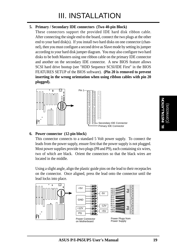#### **5. Primary / Secondary IDE connectors (Two 40-pin Block)**

These connectors support the provided IDE hard disk ribbon cable. After connecting the single end to the board, connect the two plugs at the other end to your hard disk(s). If you install two hard disks on one connector (channel), then you must configure a second drive as Slave mode by setting its jumper according to your hard disk jumper diagram. You may also configure two hard disks to be both Masters using one ribbon cable on the primary IDE connector and another on the secondary IDE connector. A new BIOS feature allows SCSI hard drive bootup (see "HDD Sequence SCSI/IDE First" in the BIOS FEATURES SETUP of the BIOS software). **(Pin 20 is removed to prevent inserting in the wrong orientation when using ribbon cables with pin 20 plugged).**



#### **6. Power connector (12-pin block)**

This connector connects to a standard 5 Volt power supply. To connect the leads from the power supply, ensure first that the power supply is not plugged. Most power supplies provide two plugs (P8 and P9), each containing six wires, two of which are black. Orient the connectors so that the black wires are located in the middle.

Using a slight angle, align the plastic guide pins on the lead to their receptacles on the connector. Once aligned, press the lead onto the connector until the lead locks into place.



(Connectors) **III. INSTALLATION**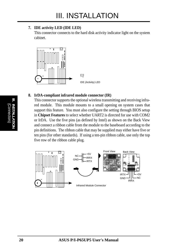#### **7. IDE activity LED (IDE LED)**

This connector connects to the hard disk activity indicator light on the system cabinet.



#### **8. IrDA-compliant infrared module connector (IR)**

This connector supports the optional wireless transmitting and receiving infrared module. This module mounts to a small opening on system cases that support this feature. You must also configure the setting through BIOS setup in **Chipset Features** to select whether UART2 is directed for use with COM2 or IrDA. Use the five pins (as defined by Intel) as shown on the Back View and connect a ribbon cable from the module to the baseboard according to the pin definitions. The ribbon cable that may be supplied may either have five or ten pins (for other standards). If using a ten-pin ribbon cable, use only the top five row of the ribbon cable plug.

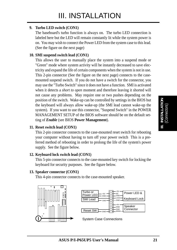#### **9. Turbo LED switch (CON1)**

The baseboard's turbo function is always on. The turbo LED connection is labeled here but the LED will remain constantly lit while the system power is on. You may wish to connect the Power LED from the system case to this lead. (See the figure on the next page)

#### **10. SMI suspend switch lead (CON1)**

This allows the user to manually place the system into a suspend mode or "Green" mode where system activity will be instantly decreased to save electricity and expand the life of certain components when the system is not in use. This 2-pin connector (See the figure on the next page) connects to the casemounted suspend switch. If you do not have a switch for the connector, you may use the "Turbo Switch" since it does not have a function. SMI is activated when it detects a *short to open* moment and therefore leaving it shorted will not cause any problems. May require one or two pushes depending on the position of the switch. Wake-up can be controlled by settings in the BIOS but the keyboard will always allow wake-up (the SMI lead cannot wake-up the system). If you want to use this connector, "Suspend Switch" in the POWER MANAGEMENT SETUP of the BIOS software should be on the default setting of *Enable* (see BIOS **Power Management**).

#### **11. Reset switch lead (CON1)**

This 2-pin connector connects to the case-mounted reset switch for rebooting your computer without having to turn off your power switch This is a preferred method of rebooting in order to prolong the life of the system's power supply. See the figure below.

#### **12. Keyboard lock switch lead (CON1)**

This 5-pin connector connects to the case-mounted key switch for locking the keyboard for security purposes. See the figure below.

#### **13. Speaker connector (CON1)**

This 4-pin connector connects to the case-mounted speaker.





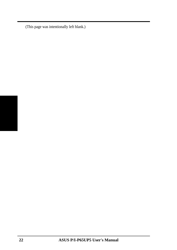(This page was intentionally left blank.)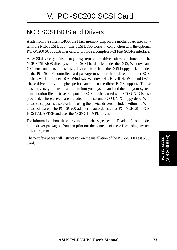## NCR SCSI BIOS and Drivers

Aside from the system BIOS, the Flash memory chip on the motherboard also contains the NCR SCSI BIOS. This SCSI BIOS works in conjunction with the optional PCI-SC200 SCSI controller card to provide a complete PCI Fast SCSI-2 interface.

All SCSI devices you install to your system require driver software to function. The NCR SCSI BIOS directly supports SCSI hard disks under the DOS, Windows and OS/2 environments. It also uses device drivers from the DOS floppy disk included in the PCI-SC200 controller card package to support hard disks and other SCSI devices working under DOS, Windows, Windows NT, Novell NetWare and OS/2. These drivers provide higher performance than the direct BIOS support. To use these drivers, you must install them into your system and add them to your system configuration files. Driver support for SCSI devices used with SCO UNIX is also provided. These drivers are included in the second SCO UNIX floppy disk. Windows 95 support is also available using the device drivers included within the Windows software. The PCI-SC200 adapter is auto detected as PCI NCRC810 SCSI HOST ADAPTER and uses the NCRC810.MPD driver.

For information about these drivers and their usage, see the Readme files included in the driver packages. You can print out the contents of these files using any text editor program.

The next few pages will instruct you on the installation of the PCI-SC200 Fast SCSI Card.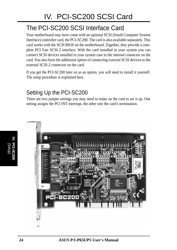### The PCI-SC200 SCSI Interface Card

Your motherboard may have come with an optional SCSI (Small Computer System Interface) controller card, the PCI-SC200. The card is also available separately. This card works with the SCSI BIOS on the motherboard. Together, they provide a complete PCI Fast SCSI-2 interface. With the card installed in your system you can connect SCSI devices installed in your system case to the internal connector on the card. You also have the additional option of connecting external SCSI devices to the external SCSI-2 connector on the card.

If you get the PCI-SC200 later on as an option, you will need to install it yourself. The setup procedure is explained here.

### Setting Up the PCI-SC200

There are two jumper settings you may need to make on the card to set it up. One setting assigns the PCI INT interrupt, the other sets the card's termination.

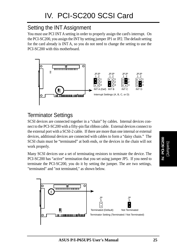### Setting the INT Assignment

You must use PCI INT A setting in order to properly assign the card's interrupt. On the PCI-SC200, you assign the INT by setting jumper JP1 or JP2. The default setting for the card already is INT A, so you do not need to change the setting to use the PCI-SC200 with this motherboard.



### Terminator Settings

SCSI devices are connected together in a "chain" by cables. Internal devices connect to the PCI-SC200 with a fifty-pin flat ribbon cable. External devices connect to the external port with a SCSI-2 cable. If there are more than one internal or external devices, additional devices are connected with cables to form a "daisy chain." The SCSI chain must be "terminated" at both ends, or the devices in the chain will not work properly.

Many SCSI devices use a set of terminating resistors to terminate the device. The PCI-SC200 has "active" termination that you set using jumper JP5. If you need to terminate the PCI-SC200, you do it by setting the jumper. The are two settings, "terminated" and "not terminated," as shown below.